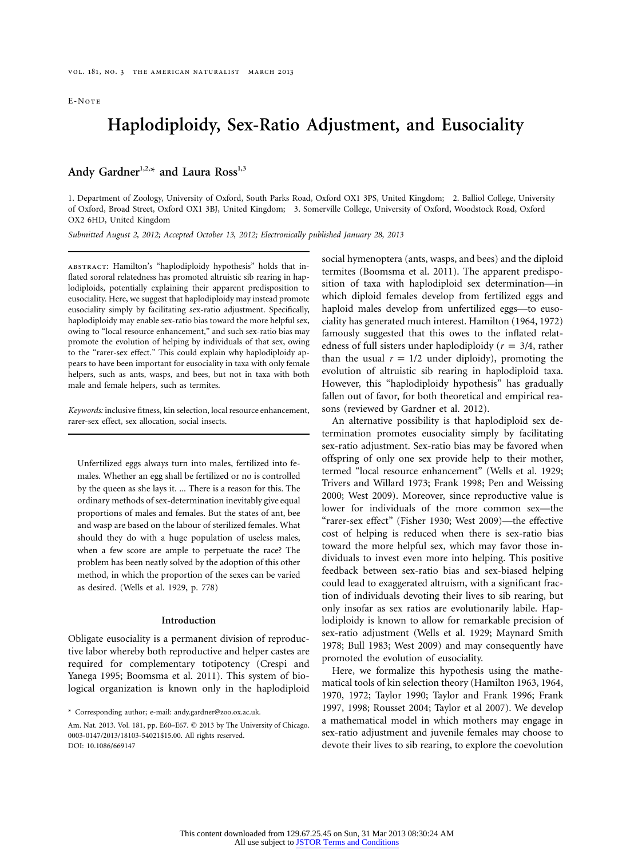E-Note

# **Haplodiploidy, Sex-Ratio Adjustment, and Eusociality**

## Andy Gardner<sup>1,2,\*</sup> and Laura Ross<sup>1,3</sup>

1. Department of Zoology, University of Oxford, South Parks Road, Oxford OX1 3PS, United Kingdom; 2. Balliol College, University of Oxford, Broad Street, Oxford OX1 3BJ, United Kingdom; 3. Somerville College, University of Oxford, Woodstock Road, Oxford OX2 6HD, United Kingdom

*Submitted August 2, 2012; Accepted October 13, 2012; Electronically published January 28, 2013*

abstract: Hamilton's "haplodiploidy hypothesis" holds that inflated sororal relatedness has promoted altruistic sib rearing in haplodiploids, potentially explaining their apparent predisposition to eusociality. Here, we suggest that haplodiploidy may instead promote eusociality simply by facilitating sex-ratio adjustment. Specifically, haplodiploidy may enable sex-ratio bias toward the more helpful sex, owing to "local resource enhancement," and such sex-ratio bias may promote the evolution of helping by individuals of that sex, owing to the "rarer-sex effect." This could explain why haplodiploidy appears to have been important for eusociality in taxa with only female helpers, such as ants, wasps, and bees, but not in taxa with both male and female helpers, such as termites.

*Keywords:* inclusive fitness, kin selection, local resource enhancement, rarer-sex effect, sex allocation, social insects.

Unfertilized eggs always turn into males, fertilized into females. Whether an egg shall be fertilized or no is controlled by the queen as she lays it. ... There is a reason for this. The ordinary methods of sex-determination inevitably give equal proportions of males and females. But the states of ant, bee and wasp are based on the labour of sterilized females. What should they do with a huge population of useless males, when a few score are ample to perpetuate the race? The problem has been neatly solved by the adoption of this other method, in which the proportion of the sexes can be varied as desired. (Wells et al. 1929, p. 778)

#### **Introduction**

Obligate eusociality is a permanent division of reproductive labor whereby both reproductive and helper castes are required for complementary totipotency (Crespi and Yanega 1995; Boomsma et al. 2011). This system of biological organization is known only in the haplodiploid social hymenoptera (ants, wasps, and bees) and the diploid termites (Boomsma et al. 2011). The apparent predisposition of taxa with haplodiploid sex determination—in which diploid females develop from fertilized eggs and haploid males develop from unfertilized eggs—to eusociality has generated much interest. Hamilton (1964, 1972) famously suggested that this owes to the inflated relatedness of full sisters under haplodiploidy ( $r = 3/4$ , rather than the usual  $r = 1/2$  under diploidy), promoting the evolution of altruistic sib rearing in haplodiploid taxa. However, this "haplodiploidy hypothesis" has gradually fallen out of favor, for both theoretical and empirical reasons (reviewed by Gardner et al. 2012).

An alternative possibility is that haplodiploid sex determination promotes eusociality simply by facilitating sex-ratio adjustment. Sex-ratio bias may be favored when offspring of only one sex provide help to their mother, termed "local resource enhancement" (Wells et al. 1929; Trivers and Willard 1973; Frank 1998; Pen and Weissing 2000; West 2009). Moreover, since reproductive value is lower for individuals of the more common sex—the "rarer-sex effect" (Fisher 1930; West 2009)—the effective cost of helping is reduced when there is sex-ratio bias toward the more helpful sex, which may favor those individuals to invest even more into helping. This positive feedback between sex-ratio bias and sex-biased helping could lead to exaggerated altruism, with a significant fraction of individuals devoting their lives to sib rearing, but only insofar as sex ratios are evolutionarily labile. Haplodiploidy is known to allow for remarkable precision of sex-ratio adjustment (Wells et al. 1929; Maynard Smith 1978; Bull 1983; West 2009) and may consequently have promoted the evolution of eusociality.

Here, we formalize this hypothesis using the mathematical tools of kin selection theory (Hamilton 1963, 1964, 1970, 1972; Taylor 1990; Taylor and Frank 1996; Frank 1997, 1998; Rousset 2004; Taylor et al 2007). We develop a mathematical model in which mothers may engage in sex-ratio adjustment and juvenile females may choose to devote their lives to sib rearing, to explore the coevolution

<sup>\*</sup> Corresponding author; e-mail: [andy.gardner@zoo.ox.ac.uk.](mailto:andy.gardner@zoo.ox.ac.uk)

Am. Nat. 2013. Vol. 181, pp. E60-E67. © 2013 by The University of Chicago. 0003-0147/2013/18103-54021\$15.00. All rights reserved. DOI: 10.1086/669147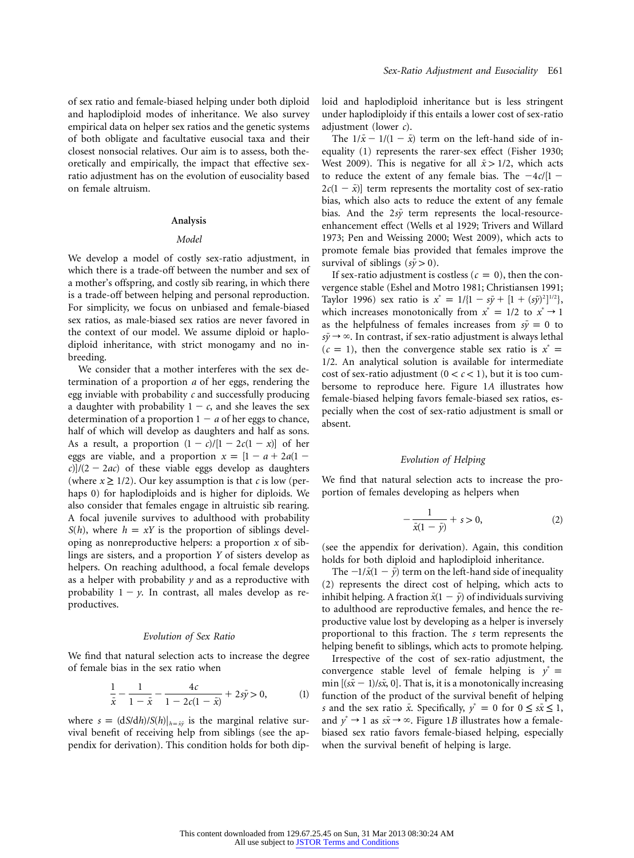of sex ratio and female-biased helping under both diploid and haplodiploid modes of inheritance. We also survey empirical data on helper sex ratios and the genetic systems of both obligate and facultative eusocial taxa and their closest nonsocial relatives. Our aim is to assess, both theoretically and empirically, the impact that effective sexratio adjustment has on the evolution of eusociality based on female altruism.

#### **Analysis**

#### *Model*

We develop a model of costly sex-ratio adjustment, in which there is a trade-off between the number and sex of a mother's offspring, and costly sib rearing, in which there is a trade-off between helping and personal reproduction. For simplicity, we focus on unbiased and female-biased sex ratios, as male-biased sex ratios are never favored in the context of our model. We assume diploid or haplodiploid inheritance, with strict monogamy and no inbreeding.

We consider that a mother interferes with the sex determination of a proportion *a* of her eggs, rendering the egg inviable with probability *c* and successfully producing a daughter with probability  $1 - c$ , and she leaves the sex determination of a proportion  $1 - a$  of her eggs to chance, half of which will develop as daughters and half as sons. As a result, a proportion  $(1 - c)/[1 - 2c(1 - x)]$  of her eggs are viable, and a proportion  $x = [1 - a + 2a(1 - a)]$  $(c)/((2 - 2ac)$  of these viable eggs develop as daughters (where  $x \geq 1/2$ ). Our key assumption is that *c* is low (perhaps 0) for haplodiploids and is higher for diploids. We also consider that females engage in altruistic sib rearing. A focal juvenile survives to adulthood with probability *S*(*h*), where  $h = xY$  is the proportion of siblings developing as nonreproductive helpers: a proportion *x* of siblings are sisters, and a proportion *Y* of sisters develop as helpers. On reaching adulthood, a focal female develops as a helper with probability *y* and as a reproductive with probability  $1 - y$ . In contrast, all males develop as reproductives.

#### *Evolution of Sex Ratio*

We find that natural selection acts to increase the degree of female bias in the sex ratio when

$$
\frac{1}{\bar{x}} - \frac{1}{1 - \bar{x}} - \frac{4c}{1 - 2c(1 - \bar{x})} + 2s\bar{y} > 0,\tag{1}
$$

where  $s = (dS/dh)/S(h)|_{h=\bar{x}\bar{y}}$  is the marginal relative survival benefit of receiving help from siblings (see the appendix for derivation). This condition holds for both diploid and haplodiploid inheritance but is less stringent under haplodiploidy if this entails a lower cost of sex-ratio adjustment (lower *c*).

The  $1/\bar{x} - 1/(1 - \bar{x})$  term on the left-hand side of inequality (1) represents the rarer-sex effect (Fisher 1930; West 2009). This is negative for all  $\bar{x}$  > 1/2, which acts to reduce the extent of any female bias. The  $-4c/[1 2c(1 - \bar{x})$  term represents the mortality cost of sex-ratio bias, which also acts to reduce the extent of any female bias. And the  $2s\bar{y}$  term represents the local-resourceenhancement effect (Wells et al 1929; Trivers and Willard 1973; Pen and Weissing 2000; West 2009), which acts to promote female bias provided that females improve the survival of siblings  $(s\bar{y} > 0)$ .

If sex-ratio adjustment is costless ( $c = 0$ ), then the convergence stable (Eshel and Motro 1981; Christiansen 1991; Taylor 1996) sex ratio is  $x^* = 1/(1 - s\bar{y} + (1 + (s\bar{y})^2)^{1/2})$ , which increases monotonically from  $x^* = 1/2$  to  $x^* \rightarrow 1$ as the helpfulness of females increases from  $s\bar{y} = 0$  to  $s\bar{y} \rightarrow \infty$ . In contrast, if sex-ratio adjustment is always lethal  $(c = 1)$ , then the convergence stable sex ratio is  $x^* =$ 1/2. An analytical solution is available for intermediate cost of sex-ratio adjustment  $(0 < c < 1)$ , but it is too cumbersome to reproduce here. Figure 1*A* illustrates how female-biased helping favors female-biased sex ratios, especially when the cost of sex-ratio adjustment is small or absent.

#### *Evolution of Helping*

We find that natural selection acts to increase the proportion of females developing as helpers when

$$
-\frac{1}{\bar{x}(1-\bar{y})} + s > 0,
$$
 (2)

(see the appendix for derivation). Again, this condition holds for both diploid and haplodiploid inheritance.

The  $-1/\bar{x}(1 - \bar{y})$  term on the left-hand side of inequality (2) represents the direct cost of helping, which acts to inhibit helping. A fraction  $\bar{x}(1 - \bar{y})$  of individuals surviving to adulthood are reproductive females, and hence the reproductive value lost by developing as a helper is inversely proportional to this fraction. The *s* term represents the helping benefit to siblings, which acts to promote helping.

Irrespective of the cost of sex-ratio adjustment, the convergence stable level of female helping is  $y^* =$  $\min$  [( $s\bar{x}$  – 1)/ $s\bar{x}$ , 0]. That is, it is a monotonically increasing function of the product of the survival benefit of helping *s* and the sex ratio  $\bar{x}$ . Specifically,  $y^* = 0$  for  $0 \leq s\bar{x} \leq 1$ , and  $y^* \rightarrow 1$  as  $s\bar{x} \rightarrow \infty$ . Figure 1*B* illustrates how a femalebiased sex ratio favors female-biased helping, especially when the survival benefit of helping is large.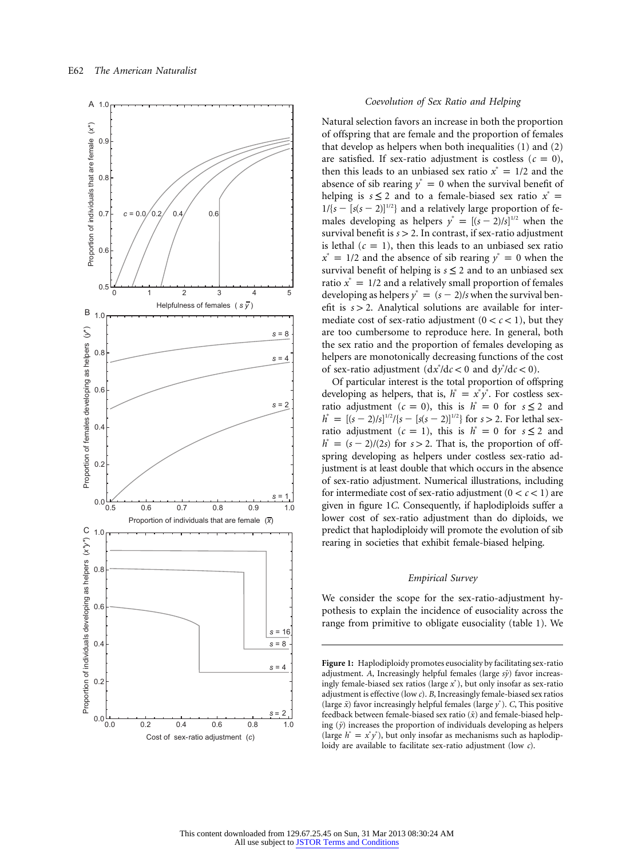

#### *Coevolution of Sex Ratio and Helping*

Natural selection favors an increase in both the proportion of offspring that are female and the proportion of females that develop as helpers when both inequalities (1) and (2) are satisfied. If sex-ratio adjustment is costless  $(c = 0)$ , then this leads to an unbiased sex ratio  $x^* = 1/2$  and the absence of sib rearing  $y^* = 0$  when the survival benefit of helping is  $s \leq 2$  and to a female-biased sex ratio  $x^* =$  $1/{s - [s(s-2)]^{1/2}}$  and a relatively large proportion of females developing as helpers  $y^* = [(s-2)/s]^{1/2}$  when the survival benefit is  $s > 2$ . In contrast, if sex-ratio adjustment is lethal  $(c = 1)$ , then this leads to an unbiased sex ratio  $x^* = 1/2$  and the absence of sib rearing  $y^* = 0$  when the survival benefit of helping is  $s \leq 2$  and to an unbiased sex ratio  $x^* = 1/2$  and a relatively small proportion of females developing as helpers  $y^* = (s - 2)/s$  when the survival benefit is  $s > 2$ . Analytical solutions are available for intermediate cost of sex-ratio adjustment  $(0 < c < 1)$ , but they are too cumbersome to reproduce here. In general, both the sex ratio and the proportion of females developing as helpers are monotonically decreasing functions of the cost of sex-ratio adjustment  $(\frac{dx^*}{dc} < 0 \text{ and } \frac{dy^*}{dc} < 0).$ 

Of particular interest is the total proportion of offspring developing as helpers, that is,  $h^* = x^* y^*$ . For costless sexratio adjustment ( $c = 0$ ), this is  $h^* = 0$  for  $s \le 2$  and  $h^* = [(s-2)/s]^{1/2}/\{s - [s(s-2)]^{1/2}\}\$ for  $s > 2$ . For lethal sexratio adjustment ( $c = 1$ ), this is  $h^* = 0$  for  $s \le 2$  and  $h^* = (s - 2)/(2s)$  for  $s > 2$ . That is, the proportion of offspring developing as helpers under costless sex-ratio adjustment is at least double that which occurs in the absence of sex-ratio adjustment. Numerical illustrations, including for intermediate cost of sex-ratio adjustment  $(0 < c < 1)$  are given in figure 1*C*. Consequently, if haplodiploids suffer a lower cost of sex-ratio adjustment than do diploids, we predict that haplodiploidy will promote the evolution of sib rearing in societies that exhibit female-biased helping.

#### *Empirical Survey*

We consider the scope for the sex-ratio-adjustment hypothesis to explain the incidence of eusociality across the range from primitive to obligate eusociality (table 1). We

**Figure 1:** Haplodiploidy promotes eusociality by facilitating sex-ratio adjustment. *A*, Increasingly helpful females (large  $s\bar{y}$ ) favor increasingly female-biased sex ratios (large  $x^*$ ), but only insofar as sex-ratio adjustment is effective (low *c*). *B*, Increasingly female-biased sex ratios (large  $\bar{x}$ ) favor increasingly helpful females (large  $y^*$ ). *C*, This positive feedback between female-biased sex ratio  $(\bar{x})$  and female-biased helping ( $\bar{y}$ ) increases the proportion of individuals developing as helpers (large  $h^* = x^* y^*$ ), but only insofar as mechanisms such as haplodiploidy are available to facilitate sex-ratio adjustment (low *c*).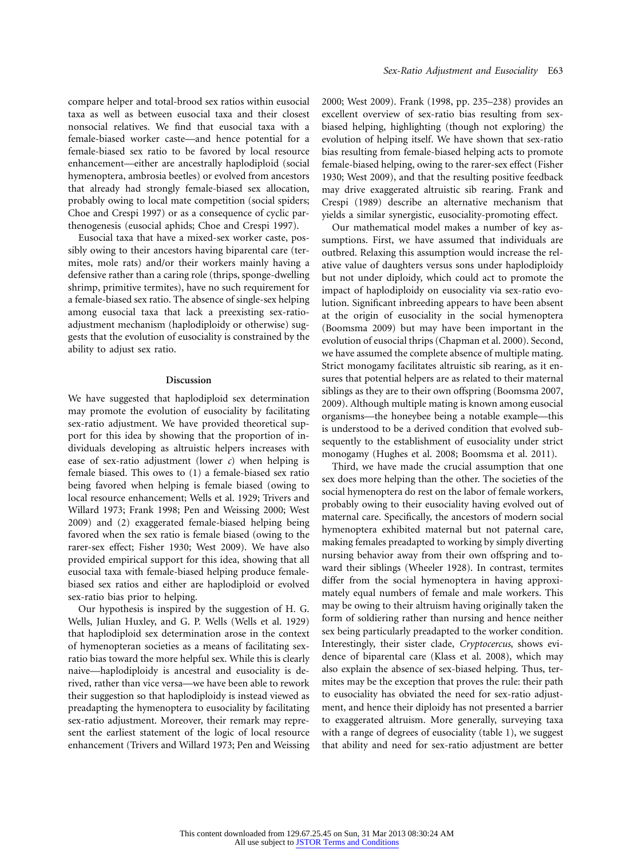compare helper and total-brood sex ratios within eusocial taxa as well as between eusocial taxa and their closest nonsocial relatives. We find that eusocial taxa with a female-biased worker caste—and hence potential for a female-biased sex ratio to be favored by local resource enhancement—either are ancestrally haplodiploid (social hymenoptera, ambrosia beetles) or evolved from ancestors that already had strongly female-biased sex allocation, probably owing to local mate competition (social spiders; Choe and Crespi 1997) or as a consequence of cyclic parthenogenesis (eusocial aphids; Choe and Crespi 1997).

Eusocial taxa that have a mixed-sex worker caste, possibly owing to their ancestors having biparental care (termites, mole rats) and/or their workers mainly having a defensive rather than a caring role (thrips, sponge-dwelling shrimp, primitive termites), have no such requirement for a female-biased sex ratio. The absence of single-sex helping among eusocial taxa that lack a preexisting sex-ratioadjustment mechanism (haplodiploidy or otherwise) suggests that the evolution of eusociality is constrained by the ability to adjust sex ratio.

#### **Discussion**

We have suggested that haplodiploid sex determination may promote the evolution of eusociality by facilitating sex-ratio adjustment. We have provided theoretical support for this idea by showing that the proportion of individuals developing as altruistic helpers increases with ease of sex-ratio adjustment (lower *c*) when helping is female biased. This owes to (1) a female-biased sex ratio being favored when helping is female biased (owing to local resource enhancement; Wells et al. 1929; Trivers and Willard 1973; Frank 1998; Pen and Weissing 2000; West 2009) and (2) exaggerated female-biased helping being favored when the sex ratio is female biased (owing to the rarer-sex effect; Fisher 1930; West 2009). We have also provided empirical support for this idea, showing that all eusocial taxa with female-biased helping produce femalebiased sex ratios and either are haplodiploid or evolved sex-ratio bias prior to helping.

Our hypothesis is inspired by the suggestion of H. G. Wells, Julian Huxley, and G. P. Wells (Wells et al. 1929) that haplodiploid sex determination arose in the context of hymenopteran societies as a means of facilitating sexratio bias toward the more helpful sex. While this is clearly naive—haplodiploidy is ancestral and eusociality is derived, rather than vice versa—we have been able to rework their suggestion so that haplodiploidy is instead viewed as preadapting the hymenoptera to eusociality by facilitating sex-ratio adjustment. Moreover, their remark may represent the earliest statement of the logic of local resource enhancement (Trivers and Willard 1973; Pen and Weissing 2000; West 2009). Frank (1998, pp. 235–238) provides an excellent overview of sex-ratio bias resulting from sexbiased helping, highlighting (though not exploring) the evolution of helping itself. We have shown that sex-ratio bias resulting from female-biased helping acts to promote female-biased helping, owing to the rarer-sex effect (Fisher 1930; West 2009), and that the resulting positive feedback may drive exaggerated altruistic sib rearing. Frank and Crespi (1989) describe an alternative mechanism that yields a similar synergistic, eusociality-promoting effect.

Our mathematical model makes a number of key assumptions. First, we have assumed that individuals are outbred. Relaxing this assumption would increase the relative value of daughters versus sons under haplodiploidy but not under diploidy, which could act to promote the impact of haplodiploidy on eusociality via sex-ratio evolution. Significant inbreeding appears to have been absent at the origin of eusociality in the social hymenoptera (Boomsma 2009) but may have been important in the evolution of eusocial thrips (Chapman et al. 2000). Second, we have assumed the complete absence of multiple mating. Strict monogamy facilitates altruistic sib rearing, as it ensures that potential helpers are as related to their maternal siblings as they are to their own offspring (Boomsma 2007, 2009). Although multiple mating is known among eusocial organisms—the honeybee being a notable example—this is understood to be a derived condition that evolved subsequently to the establishment of eusociality under strict monogamy (Hughes et al. 2008; Boomsma et al. 2011).

Third, we have made the crucial assumption that one sex does more helping than the other. The societies of the social hymenoptera do rest on the labor of female workers, probably owing to their eusociality having evolved out of maternal care. Specifically, the ancestors of modern social hymenoptera exhibited maternal but not paternal care, making females preadapted to working by simply diverting nursing behavior away from their own offspring and toward their siblings (Wheeler 1928). In contrast, termites differ from the social hymenoptera in having approximately equal numbers of female and male workers. This may be owing to their altruism having originally taken the form of soldiering rather than nursing and hence neither sex being particularly preadapted to the worker condition. Interestingly, their sister clade, *Cryptocercus*, shows evidence of biparental care (Klass et al. 2008), which may also explain the absence of sex-biased helping. Thus, termites may be the exception that proves the rule: their path to eusociality has obviated the need for sex-ratio adjustment, and hence their diploidy has not presented a barrier to exaggerated altruism. More generally, surveying taxa with a range of degrees of eusociality (table 1), we suggest that ability and need for sex-ratio adjustment are better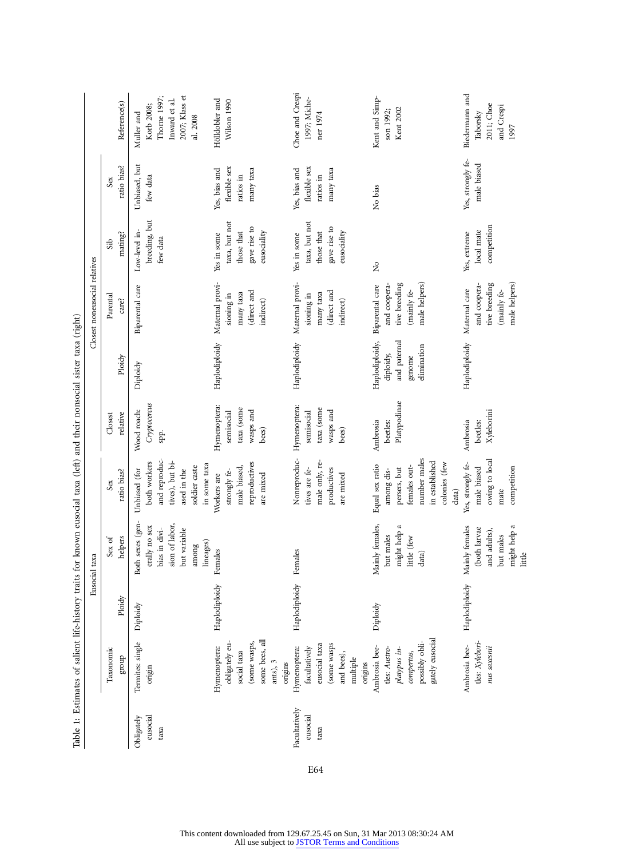|     |                                   | Tapic 1. Explored to the microsoft of the property of the second to the contract of the contract of the contract of the contract of the contract of the contract of the contract of the contract of the contract of the contra |               |                                                                                                            | VIIDANT PARTIT POST TELEVIS DESCRIPTION OF THE VEHICLE PRODUCED PRODUCED IN THE VEHICLE PARTIES.                          |                                                                |                                                                      |                                                                                  |                                                                           |                                                         |                                                                                         |
|-----|-----------------------------------|--------------------------------------------------------------------------------------------------------------------------------------------------------------------------------------------------------------------------------|---------------|------------------------------------------------------------------------------------------------------------|---------------------------------------------------------------------------------------------------------------------------|----------------------------------------------------------------|----------------------------------------------------------------------|----------------------------------------------------------------------------------|---------------------------------------------------------------------------|---------------------------------------------------------|-----------------------------------------------------------------------------------------|
|     |                                   |                                                                                                                                                                                                                                |               | Eusocial taxa                                                                                              |                                                                                                                           |                                                                |                                                                      | Closest noneusocial relatives                                                    |                                                                           |                                                         |                                                                                         |
|     |                                   | Taxonomic<br>dnong                                                                                                                                                                                                             | Ploidy        | helpers<br>Sex of                                                                                          | ratio bias?<br>Sex                                                                                                        | relative<br>Closest                                            | Ploidy                                                               | Parental<br>care?                                                                | mating?<br>Sib                                                            | ratio bias?<br>Sex                                      | Reference(s)                                                                            |
|     | eusocial<br>Obligately<br>taxa    | Termites: single<br>origin                                                                                                                                                                                                     | Diploidy      | Both sexes (gen-<br>sion of labor,<br>erally no sex<br>bias in divi-<br>but variable<br>lineages)<br>among | and reproduc-<br>tives), but bi-<br>both workers<br>in some taxa<br>soldier caste<br>ased in the<br>Unbiased (for         | Cryptocercus<br>Wood roach:<br>spp.                            | Diploidy                                                             | Biparental care                                                                  | breeding, but<br>Low-level in-<br>few data                                | Unbiased, but<br>few data                               | 2007; Klass et<br>Thorne 1997;<br>Inward et al.<br>Korb 2008;<br>Muller and<br>al. 2008 |
|     |                                   | some bees, all<br>obligately eu-<br>(some wasps,<br>Hymenoptera:<br>social taxa<br>ants), $3$<br>origins                                                                                                                       | Haplodiploidy | Females                                                                                                    | reproductives<br>male biased,<br>strongly fe-<br>are mixed<br>Workers are                                                 | Hymenoptera:<br>taxa (some<br>wasps and<br>semisocial<br>bees) | Haplodiploidy                                                        | Maternal provi-<br>(direct and<br>many taxa<br>sioning in<br>indirect)           | taxa, but not<br>gave rise to<br>eusociality<br>those that<br>Yes in some | flexible sex<br>many taxa<br>Yes, bias and<br>ratios in | Hölldobler and<br>Wilson 1990                                                           |
| E64 | Facultatively<br>eusocial<br>taxa | eusocial taxa<br>(some wasps<br>Hymenoptera:<br>facultatively<br>and bees),<br>multiple<br>origins                                                                                                                             | Haplodiploidy | Females                                                                                                    | Nonreproduc-<br>male only, re-<br>tives are fe-<br>productives<br>are mixed                                               | Hymenoptera:<br>taxa (some<br>wasps and<br>semisocial<br>bees) | Haplodiploidy                                                        | Maternal provi-<br>(direct and<br>many taxa<br>sioning in<br>indirect)           | taxa, but not<br>gave rise to<br>eusociality<br>those that<br>Yes in some | flexible sex<br>Yes, bias and<br>many taxa<br>ratios in | Choe and Crespi<br>1997; Miche-<br>ner 1974                                             |
|     |                                   | gately eusocial<br>possibly obli-<br>Ambrosia bee-<br>tles: Austro-<br>platypus in-<br>compertus,                                                                                                                              | Diploidy      | Mainly females,<br>might help a<br>but males<br>little (few<br>data)                                       | number males<br>in established<br>colonies (few<br>Equal sex ratio<br>females out-<br>persers, but<br>among dis-<br>data) | Platypodinae<br>Ambrosia<br>beetles:                           | Haplodiploidy,<br>and paternal<br>elimination<br>diploidy,<br>genome | male helpers)<br>tive breeding<br>and coopera-<br>Biparental care<br>(mainly fe- | $\tilde{z}$                                                               | No bias                                                 | Kent and Simp-<br>Kent 2002<br>son 1992;                                                |
|     |                                   | tles: Xylebori-<br>Ambrosia bee-<br>nus saxesnii                                                                                                                                                                               | Haplodiploidy | might help a<br>Mainly females<br>(both larvae<br>and adults),<br>but males<br>little                      | owing to local<br>Yes, strongly fe-<br>competition<br>male biased<br>mate                                                 | Xyleborini<br>beetles:<br>Ambrosia                             | Haplodiploidy                                                        | male helpers)<br>and coopera-<br>tive breeding<br>(mainly fe-<br>Maternal care   | competition<br>local mate<br>Yes, extreme                                 | Yes, strongly fe-<br>male biased                        | Biedermann and<br>2011; Choe<br>and Crespi<br>Taborsky<br>1997                          |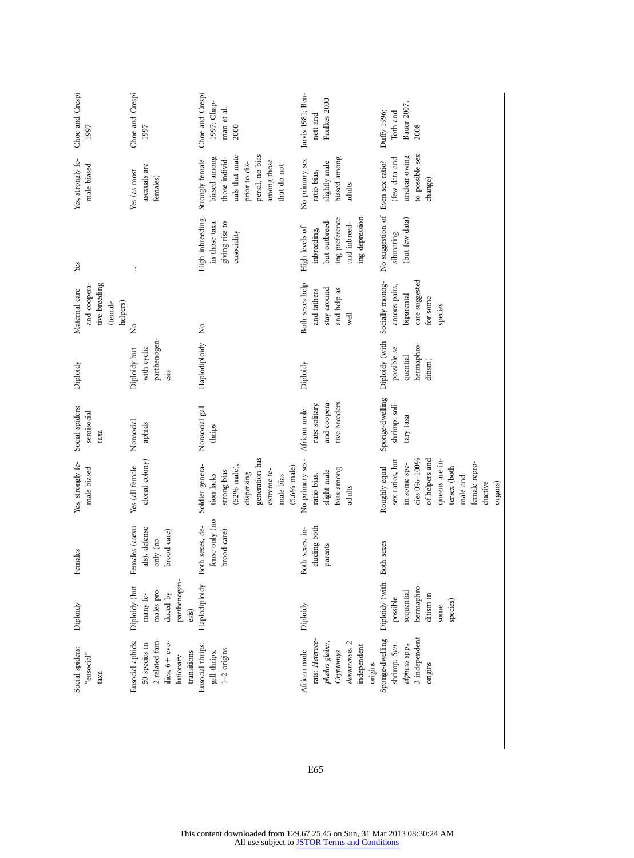| Social spiders:<br>"eusocial"<br>taxa                                                                     | Diploidy                                                                                           | Females                                                     | Yes, strongly fe-<br>male biased                                                                                                                                        | Social spiders:<br>semisocial<br>taxa                           | Diploidy                                                            | tive breeding<br>and coopera-<br>Maternal care<br>(female<br>helpers)                  | Yes                                                                                                | Yes, strongly fe-<br>male biased                                                                                                      | Choe and Crespi<br>1997                              |
|-----------------------------------------------------------------------------------------------------------|----------------------------------------------------------------------------------------------------|-------------------------------------------------------------|-------------------------------------------------------------------------------------------------------------------------------------------------------------------------|-----------------------------------------------------------------|---------------------------------------------------------------------|----------------------------------------------------------------------------------------|----------------------------------------------------------------------------------------------------|---------------------------------------------------------------------------------------------------------------------------------------|------------------------------------------------------|
| 2 related fam-<br>Eusocial aphids:<br>ilies, 6+ evo-<br>50 species in<br>transitions<br>lutionary         | parthenogen-<br>Diploidy (but<br>males pro-<br>many fe-<br>duced by<br>esis)                       | Females (asexu-<br>als), defense<br>brood care)<br>only (no | clonal colony)<br>Yes (all-female                                                                                                                                       | Nonsocial<br>aphids                                             | parthenogen-<br>with cyclic<br>Diploidy but<br>esis                 | $\overline{\mathsf{x}}$                                                                | $\colon$                                                                                           | asexuals are<br>Yes (as most<br>females)                                                                                              | Choe and Crespi<br>1997                              |
| Eusocial thrips:<br>$1-2$ origins<br>gall thrips,                                                         | Haplodiploidy                                                                                      | fense only (no<br>Both sexes, de-<br>brood care)            | generation has<br>Soldier genera-<br>(52% male),<br>$(5.6%$ male)<br>extreme fe-<br>strong bias<br>dispersing<br>tion lacks<br>male bias                                | Nonsocial gall<br>thrips                                        | Haplodiploidy                                                       | $\mathsf{S}^{\mathsf{o}}$                                                              | High inbreeding<br>giving rise to<br>in those taxa<br>eusociality                                  | uals that mate<br>persal, no bias<br>biased among<br>those individ-<br>Strongly female<br>among those<br>prior to dis-<br>that do not | Choe and Crespi<br>1997; Chap-<br>man et al.<br>2000 |
| rats: Heteroce-<br>phalus glaber,<br>damarensis, 2<br>independent<br>African mole<br>Cryptomys<br>origins | Diploidy                                                                                           | duding both<br>Both sexes, in-<br>parents                   | No primary sex-<br>bias among<br>slight male<br>ratio bias,<br>adults                                                                                                   | and coopera-<br>tive breeders<br>rats: solitary<br>African mole | Diploidy                                                            | Both sexes help<br>stay around<br>and help as<br>and fathers<br>well                   | ing depression<br>ing preference<br>but outbreed-<br>and inbreed-<br>High levels of<br>inbreeding, | biased among<br>No primary sex<br>slightly male<br>ratio bias,<br>adults                                                              | Jarvis 1981; Ben-<br>Faulkes 2000<br>nett and        |
| 3 independent<br>Sponge-dwelling<br>shrimp: Syn-<br>alpheus spp.,<br>origins                              | Diploidy (with Both sexes<br>hermaphro-<br>sequential<br>ditism in<br>possible<br>species)<br>some |                                                             | cies 0%-100%<br>of helpers and<br>sex ratios, but<br>queens are in-<br>female repro-<br>in some spe-<br>Roughly equal<br>tersex (both<br>male and<br>ductive<br>organs) | Sponge-dwelling<br>shrimp: soli-<br>tary taxa                   | Diploidy (with<br>hermaphro-<br>possible se-<br>quential<br>ditism) | care suggested<br>Socially monog-<br>amous pairs,<br>biparental<br>for some<br>species | No suggestion of Even sex ratio?<br>(but few data)<br>sibmating                                    | to possible sex<br>undear owing<br>(few data and<br>change)                                                                           | Bauer 2007,<br>Duffy 1996;<br>Toth and<br>2008       |

E65

This content downloaded from 129.67.25.45 on Sun, 31 Mar 2013 08:30:24 AM All use subject to [JSTOR Terms and Conditions](http://www.jstor.org/page/info/about/policies/terms.jsp)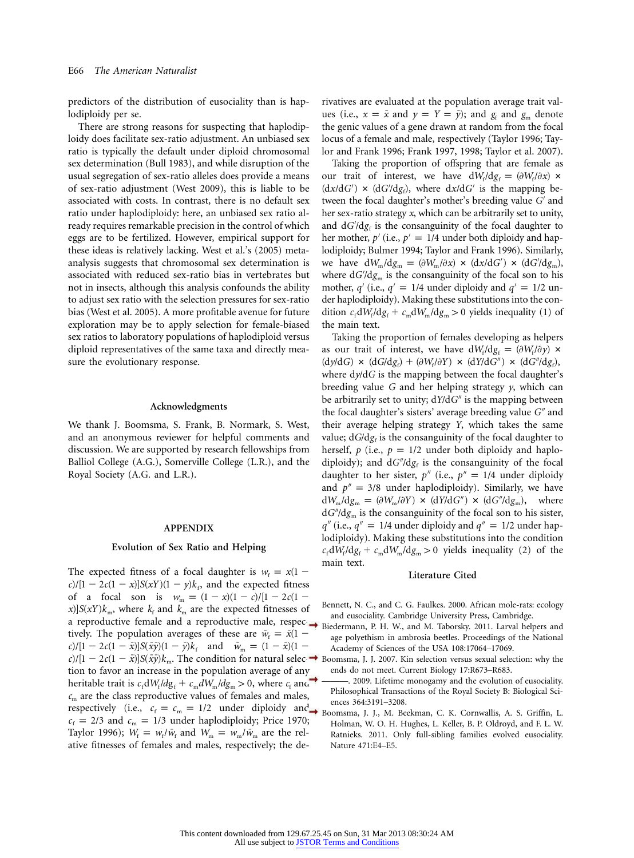predictors of the distribution of eusociality than is haplodiploidy per se.

There are strong reasons for suspecting that haplodiploidy does facilitate sex-ratio adjustment. An unbiased sex ratio is typically the default under diploid chromosomal sex determination (Bull 1983), and while disruption of the usual segregation of sex-ratio alleles does provide a means of sex-ratio adjustment (West 2009), this is liable to be associated with costs. In contrast, there is no default sex ratio under haplodiploidy: here, an unbiased sex ratio already requires remarkable precision in the control of which eggs are to be fertilized. However, empirical support for these ideas is relatively lacking. West et al.'s (2005) metaanalysis suggests that chromosomal sex determination is associated with reduced sex-ratio bias in vertebrates but not in insects, although this analysis confounds the ability to adjust sex ratio with the selection pressures for sex-ratio bias (West et al. 2005). A more profitable avenue for future exploration may be to apply selection for female-biased sex ratios to laboratory populations of haplodiploid versus diploid representatives of the same taxa and directly measure the evolutionary response.

### **Acknowledgments**

We thank J. Boomsma, S. Frank, B. Normark, S. West, and an anonymous reviewer for helpful comments and discussion. We are supported by research fellowships from Balliol College (A.G.), Somerville College (L.R.), and the Royal Society (A.G. and L.R.).

#### **APPENDIX**

#### **Evolution of Sex Ratio and Helping**

The expected fitness of a focal daughter is  $w_f = x(1$  $c$ / $[1 - 2c(1 - x)]$ *S*( $xY$ )( $1 - y$ ) $k_f$ , and the expected fitness of a focal son is  $w_m = (1 - x)(1 - c)/[1 - 2c(1 - c)]$  $x$ )]*S*(*xY*) $k_m$ , where  $k_f$  and  $k_m$  are the expected fitnesses of and eusociality. Cambridge University Press, Cambridge.<br>
a reproductive female and a reproductive male, respecting the Hall and M. Taborsky 2011. Larval beli tively. The population averages of these are  $\bar{w}_f = \bar{x}(1$  $c$ //[1 - 2*c*(1 -  $\bar{x}$ )]*S*( $\bar{x}$  $\bar{y}$ )(1 -  $\bar{y}$ ) $k_f$  and  $\bar{w}_m = (1 - \bar{x})(1 - \bar{x})$  $c$ / $[1 - 2c(1 - \bar{x})]$ *S*( $\bar{x}$ *y*) $k_m$ . The condition for natural selec $\rightarrow$  Boomsma, J. J. 2007. Kin selection versus sexual selection: why the tion to favor an increase in the population average of any heritable trait is  $c_f dW_f / dg_f + c_m dW_m / dg_m > 0$ , where  $c_f$  and *c*<sup>m</sup> are the class reproductive values of females and males, respectively (i.e.,  $c_f = c_m = 1/2$  under diploidy and **c**<sub>c</sub> *c*<sub>0</sub> moonsma. I. L. M. Because the *c*<sub>f</sub> moonsman and **c**<sub>1</sub> moonsman and **c**<sub>1</sub> moonsman and **c**<sub>1</sub> moonsman and **c**<sub>1</sub> moonsman and **c**<sub>1</sub> moonsman and **c**<sub>1</sub>  $c_f$  = 2/3 and  $c_m$  = 1/3 under haplodiploidy; Price 1970; Taylor 1996);  $W_f = w_f / \bar{w}_f$  and  $W_m = w_m / \bar{w}_m$  are the relative fitnesses of females and males, respectively; the de-

rivatives are evaluated at the population average trait values (i.e.,  $x = \bar{x}$  and  $y = Y = \bar{y}$ ); and  $g_f$  and  $g_m$  denote the genic values of a gene drawn at random from the focal locus of a female and male, respectively (Taylor 1996; Taylor and Frank 1996; Frank 1997, 1998; Taylor et al. 2007).

Taking the proportion of offspring that are female as our trait of interest, we have  $dW_f/dg_f = (\partial W_f/\partial x) \times$  $(dx/dG') \times (dG/dg_f)$ , where  $dx/dG'$  is the mapping between the focal daughter's mother's breeding value G' and her sex-ratio strategy *x*, which can be arbitrarily set to unity, and  $dG'/d\mathfrak{g}_{\epsilon}$  is the consanguinity of the focal daughter to her mother,  $p'$  (i.e.,  $p' = 1/4$  under both diploidy and haplodiploidy; Bulmer 1994; Taylor and Frank 1996). Similarly, we have  $dW_m / dg_m = (\partial W_m / \partial x) \times (dx / dG') \times (dG / dg_m)$ , where  $dG / dg_m$  is the consanguinity of the focal son to his mother,  $q'$  (i.e.,  $q' = 1/4$  under diploidy and  $q' = 1/2$  under haplodiploidy). Making these substitutions into the condition  $c_f dW_f/dg_f + c_m dW_m/dg_m > 0$  yields inequality (1) of the main text.

Taking the proportion of females developing as helpers as our trait of interest, we have  $dW_f/dg_f = (\partial W_f/\partial y) \times$  $(dy/dG) \times (dG/dg_i) + (\partial W_i/\partial Y) \times (dY/dG'') \times (dG''/dg_i),$ where  $dy/dG$  is the mapping between the focal daughter's breeding value *G* and her helping strategy *y*, which can be arbitrarily set to unity;  $dY/dG''$  is the mapping between the focal daughter's sisters' average breeding value *G*<sup>*n*</sup> and their average helping strategy *Y*, which takes the same value;  $dG/dg<sub>f</sub>$  is the consanguinity of the focal daughter to herself,  $p$  (i.e.,  $p = 1/2$  under both diploidy and haplodiploidy); and  $dG''/dg_f$  is the consanguinity of the focal daughter to her sister,  $p''$  (i.e.,  $p'' = 1/4$  under diploidy and  $p'' = 3/8$  under haplodiploidy). Similarly, we have  $dW_m/dg_m = (\partial W_m/\partial Y) \times (dY/dG'') \times (dG''/dg_m)$ , where  $dG''/dg_m$  is the consanguinity of the focal son to his sister, *q*<sup>"</sup> (i.e.,  $q$ <sup>"</sup> = 1/4 *under diploidy and*  $q$ " = 1/2 *under hap*lodiploidy). Making these substitutions into the condition  $c_f dW_f/dg_f + c_m dW_m/dg_m > 0$  yields inequality (2) of the main text.

#### **Literature Cited**

- Bennett, N. C., and C. G. Faulkes. 2000. African mole-rats: ecology
- Biedermann, P. H. W., and M. Taborsky. 2011. Larval helpers and age polyethism in ambrosia beetles. Proceedings of the National Academy of Sciences of the USA 108:17064–17069.
- ends do not meet. Current Biology 17:R673–R683.
- . 2009. Lifetime monogamy and the evolution of eusociality. Philosophical Transactions of the Royal Society B: Biological Sci-
- Boomsma, J. J., M. Beekman, C. K. Cornwallis, A. S. Griffin, L. Holman, W. O. H. Hughes, L. Keller, B. P. Oldroyd, and F. L. W. Ratnieks. 2011. Only full-sibling families evolved eusociality. Nature 471:E4–E5.